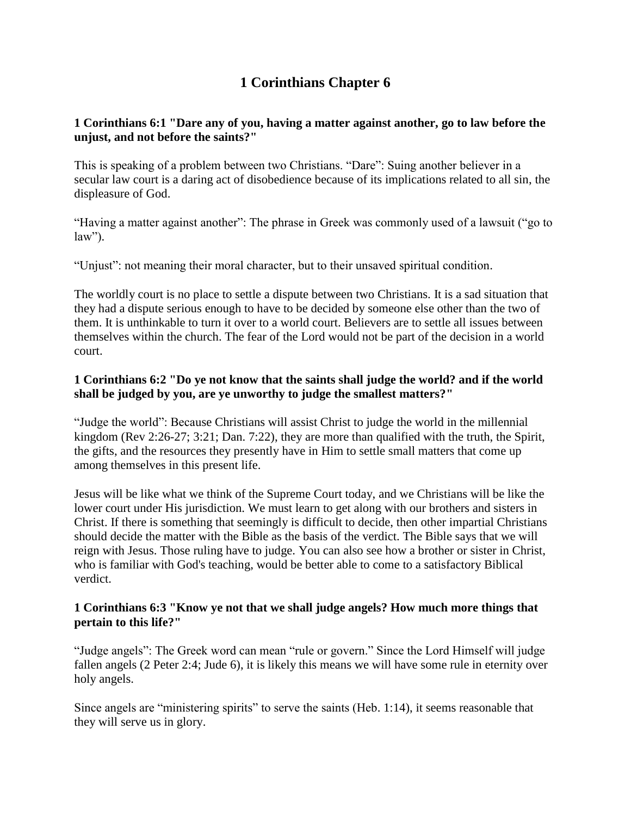# **1 Corinthians Chapter 6**

# **1 Corinthians 6:1 "Dare any of you, having a matter against another, go to law before the unjust, and not before the saints?"**

This is speaking of a problem between two Christians. "Dare": Suing another believer in a secular law court is a daring act of disobedience because of its implications related to all sin, the displeasure of God.

"Having a matter against another": The phrase in Greek was commonly used of a lawsuit ("go to  $law$ ").

"Unjust": not meaning their moral character, but to their unsaved spiritual condition.

The worldly court is no place to settle a dispute between two Christians. It is a sad situation that they had a dispute serious enough to have to be decided by someone else other than the two of them. It is unthinkable to turn it over to a world court. Believers are to settle all issues between themselves within the church. The fear of the Lord would not be part of the decision in a world court.

# **1 Corinthians 6:2 "Do ye not know that the saints shall judge the world? and if the world shall be judged by you, are ye unworthy to judge the smallest matters?"**

"Judge the world": Because Christians will assist Christ to judge the world in the millennial kingdom (Rev 2:26-27; 3:21; Dan. 7:22), they are more than qualified with the truth, the Spirit, the gifts, and the resources they presently have in Him to settle small matters that come up among themselves in this present life.

Jesus will be like what we think of the Supreme Court today, and we Christians will be like the lower court under His jurisdiction. We must learn to get along with our brothers and sisters in Christ. If there is something that seemingly is difficult to decide, then other impartial Christians should decide the matter with the Bible as the basis of the verdict. The Bible says that we will reign with Jesus. Those ruling have to judge. You can also see how a brother or sister in Christ, who is familiar with God's teaching, would be better able to come to a satisfactory Biblical verdict.

#### **1 Corinthians 6:3 "Know ye not that we shall judge angels? How much more things that pertain to this life?"**

"Judge angels": The Greek word can mean "rule or govern." Since the Lord Himself will judge fallen angels (2 Peter 2:4; Jude 6), it is likely this means we will have some rule in eternity over holy angels.

Since angels are "ministering spirits" to serve the saints (Heb. 1:14), it seems reasonable that they will serve us in glory.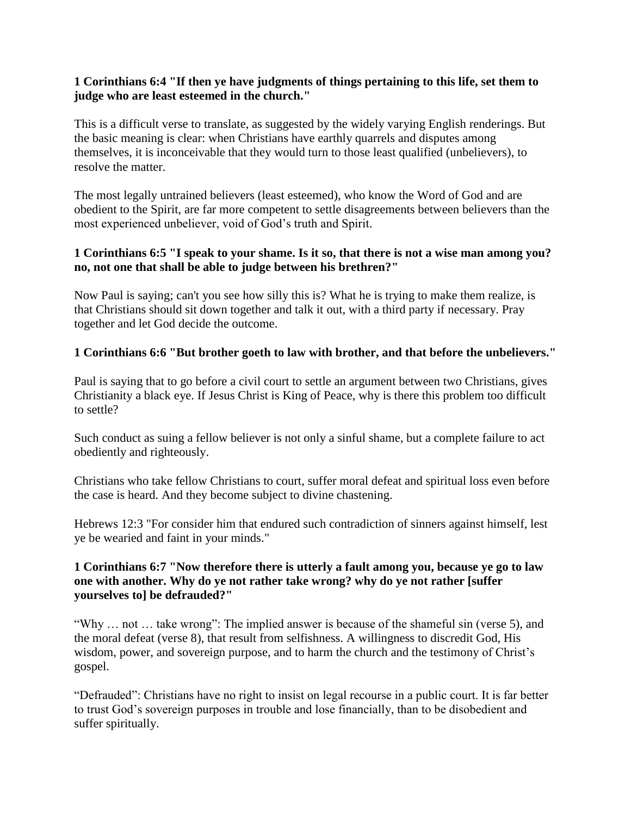#### **1 Corinthians 6:4 "If then ye have judgments of things pertaining to this life, set them to judge who are least esteemed in the church."**

This is a difficult verse to translate, as suggested by the widely varying English renderings. But the basic meaning is clear: when Christians have earthly quarrels and disputes among themselves, it is inconceivable that they would turn to those least qualified (unbelievers), to resolve the matter.

The most legally untrained believers (least esteemed), who know the Word of God and are obedient to the Spirit, are far more competent to settle disagreements between believers than the most experienced unbeliever, void of God's truth and Spirit.

### **1 Corinthians 6:5 "I speak to your shame. Is it so, that there is not a wise man among you? no, not one that shall be able to judge between his brethren?"**

Now Paul is saying; can't you see how silly this is? What he is trying to make them realize, is that Christians should sit down together and talk it out, with a third party if necessary. Pray together and let God decide the outcome.

# **1 Corinthians 6:6 "But brother goeth to law with brother, and that before the unbelievers."**

Paul is saying that to go before a civil court to settle an argument between two Christians, gives Christianity a black eye. If Jesus Christ is King of Peace, why is there this problem too difficult to settle?

Such conduct as suing a fellow believer is not only a sinful shame, but a complete failure to act obediently and righteously.

Christians who take fellow Christians to court, suffer moral defeat and spiritual loss even before the case is heard. And they become subject to divine chastening.

Hebrews 12:3 "For consider him that endured such contradiction of sinners against himself, lest ye be wearied and faint in your minds."

### **1 Corinthians 6:7 "Now therefore there is utterly a fault among you, because ye go to law one with another. Why do ye not rather take wrong? why do ye not rather [suffer yourselves to] be defrauded?"**

"Why … not … take wrong": The implied answer is because of the shameful sin (verse 5), and the moral defeat (verse 8), that result from selfishness. A willingness to discredit God, His wisdom, power, and sovereign purpose, and to harm the church and the testimony of Christ's gospel.

"Defrauded": Christians have no right to insist on legal recourse in a public court. It is far better to trust God's sovereign purposes in trouble and lose financially, than to be disobedient and suffer spiritually.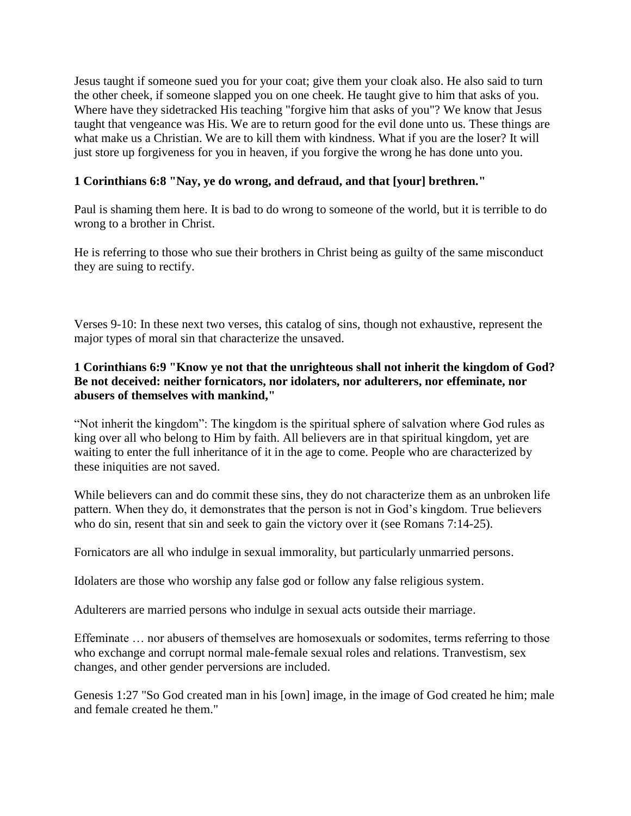Jesus taught if someone sued you for your coat; give them your cloak also. He also said to turn the other cheek, if someone slapped you on one cheek. He taught give to him that asks of you. Where have they sidetracked His teaching "forgive him that asks of you"? We know that Jesus taught that vengeance was His. We are to return good for the evil done unto us. These things are what make us a Christian. We are to kill them with kindness. What if you are the loser? It will just store up forgiveness for you in heaven, if you forgive the wrong he has done unto you.

# **1 Corinthians 6:8 "Nay, ye do wrong, and defraud, and that [your] brethren."**

Paul is shaming them here. It is bad to do wrong to someone of the world, but it is terrible to do wrong to a brother in Christ.

He is referring to those who sue their brothers in Christ being as guilty of the same misconduct they are suing to rectify.

Verses 9-10: In these next two verses, this catalog of sins, though not exhaustive, represent the major types of moral sin that characterize the unsaved.

# **1 Corinthians 6:9 "Know ye not that the unrighteous shall not inherit the kingdom of God? Be not deceived: neither fornicators, nor idolaters, nor adulterers, nor effeminate, nor abusers of themselves with mankind,"**

"Not inherit the kingdom": The kingdom is the spiritual sphere of salvation where God rules as king over all who belong to Him by faith. All believers are in that spiritual kingdom, yet are waiting to enter the full inheritance of it in the age to come. People who are characterized by these iniquities are not saved.

While believers can and do commit these sins, they do not characterize them as an unbroken life pattern. When they do, it demonstrates that the person is not in God's kingdom. True believers who do sin, resent that sin and seek to gain the victory over it (see Romans 7:14-25).

Fornicators are all who indulge in sexual immorality, but particularly unmarried persons.

Idolaters are those who worship any false god or follow any false religious system.

Adulterers are married persons who indulge in sexual acts outside their marriage.

Effeminate … nor abusers of themselves are homosexuals or sodomites, terms referring to those who exchange and corrupt normal male-female sexual roles and relations. Tranvestism, sex changes, and other gender perversions are included.

Genesis 1:27 "So God created man in his [own] image, in the image of God created he him; male and female created he them."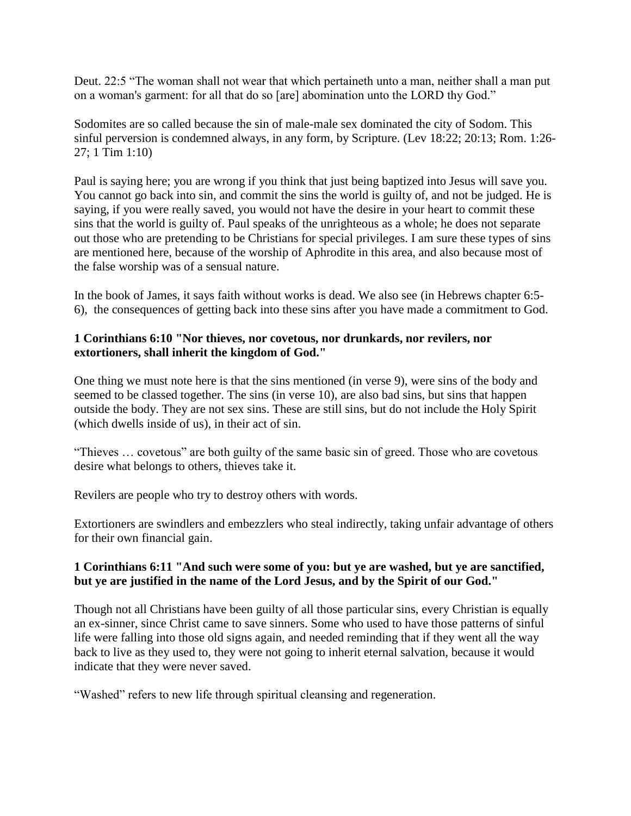Deut. 22:5 "The woman shall not wear that which pertaineth unto a man, neither shall a man put on a woman's garment: for all that do so [are] abomination unto the LORD thy God."

Sodomites are so called because the sin of male-male sex dominated the city of Sodom. This sinful perversion is condemned always, in any form, by Scripture. (Lev 18:22; 20:13; Rom. 1:26- 27; 1 Tim 1:10)

Paul is saying here; you are wrong if you think that just being baptized into Jesus will save you. You cannot go back into sin, and commit the sins the world is guilty of, and not be judged. He is saying, if you were really saved, you would not have the desire in your heart to commit these sins that the world is guilty of. Paul speaks of the unrighteous as a whole; he does not separate out those who are pretending to be Christians for special privileges. I am sure these types of sins are mentioned here, because of the worship of Aphrodite in this area, and also because most of the false worship was of a sensual nature.

In the book of James, it says faith without works is dead. We also see (in Hebrews chapter 6:5- 6), the consequences of getting back into these sins after you have made a commitment to God.

### **1 Corinthians 6:10 "Nor thieves, nor covetous, nor drunkards, nor revilers, nor extortioners, shall inherit the kingdom of God."**

One thing we must note here is that the sins mentioned (in verse 9), were sins of the body and seemed to be classed together. The sins (in verse 10), are also bad sins, but sins that happen outside the body. They are not sex sins. These are still sins, but do not include the Holy Spirit (which dwells inside of us), in their act of sin.

"Thieves … covetous" are both guilty of the same basic sin of greed. Those who are covetous desire what belongs to others, thieves take it.

Revilers are people who try to destroy others with words.

Extortioners are swindlers and embezzlers who steal indirectly, taking unfair advantage of others for their own financial gain.

#### **1 Corinthians 6:11 "And such were some of you: but ye are washed, but ye are sanctified, but ye are justified in the name of the Lord Jesus, and by the Spirit of our God."**

Though not all Christians have been guilty of all those particular sins, every Christian is equally an ex-sinner, since Christ came to save sinners. Some who used to have those patterns of sinful life were falling into those old signs again, and needed reminding that if they went all the way back to live as they used to, they were not going to inherit eternal salvation, because it would indicate that they were never saved.

"Washed" refers to new life through spiritual cleansing and regeneration.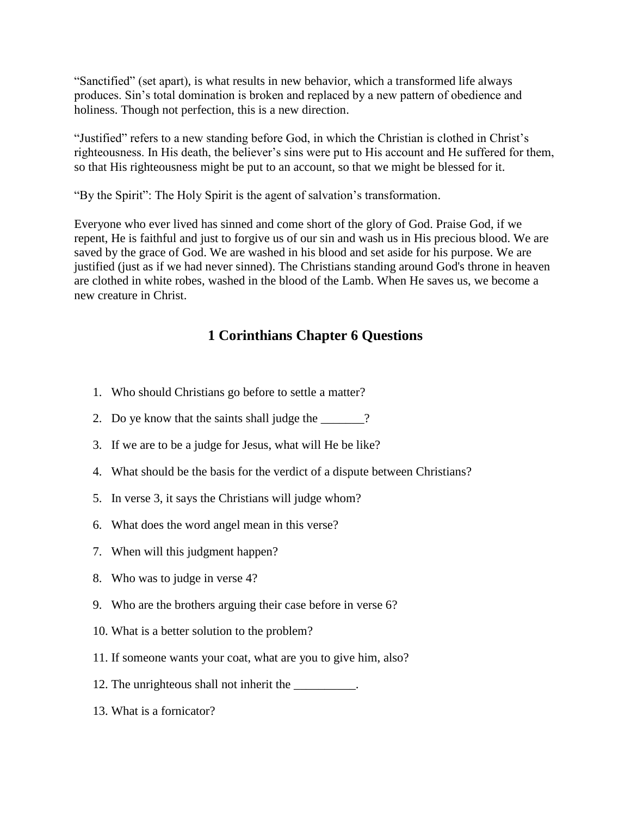"Sanctified" (set apart), is what results in new behavior, which a transformed life always produces. Sin's total domination is broken and replaced by a new pattern of obedience and holiness. Though not perfection, this is a new direction.

"Justified" refers to a new standing before God, in which the Christian is clothed in Christ's righteousness. In His death, the believer's sins were put to His account and He suffered for them, so that His righteousness might be put to an account, so that we might be blessed for it.

"By the Spirit": The Holy Spirit is the agent of salvation's transformation.

Everyone who ever lived has sinned and come short of the glory of God. Praise God, if we repent, He is faithful and just to forgive us of our sin and wash us in His precious blood. We are saved by the grace of God. We are washed in his blood and set aside for his purpose. We are justified (just as if we had never sinned). The Christians standing around God's throne in heaven are clothed in white robes, washed in the blood of the Lamb. When He saves us, we become a new creature in Christ.

# **1 Corinthians Chapter 6 Questions**

- 1. Who should Christians go before to settle a matter?
- 2. Do ye know that the saints shall judge the \_\_\_\_\_\_\_?
- 3. If we are to be a judge for Jesus, what will He be like?
- 4. What should be the basis for the verdict of a dispute between Christians?
- 5. In verse 3, it says the Christians will judge whom?
- 6. What does the word angel mean in this verse?
- 7. When will this judgment happen?
- 8. Who was to judge in verse 4?
- 9. Who are the brothers arguing their case before in verse 6?
- 10. What is a better solution to the problem?
- 11. If someone wants your coat, what are you to give him, also?
- 12. The unrighteous shall not inherit the \_\_\_\_\_\_\_\_\_.
- 13. What is a fornicator?